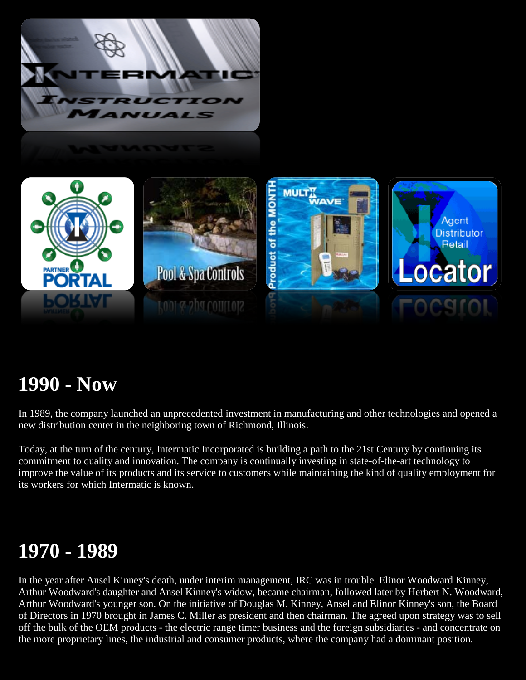



## **1990 - Now**

In 1989, the company launched an unprecedented investment in manufacturing and other technologies and opened a new distribution center in the neighboring town of Richmond, Illinois.

Today, at the turn of the century, Intermatic Incorporated is building a path to the 21st Century by continuing its commitment to quality and innovation. The company is continually investing in state-of-the-art technology to improve the value of its products and its service to customers while maintaining the kind of quality employment for its workers for which Intermatic is known.

### **1970 - 1989**

In the year after Ansel Kinney's death, under interim management, IRC was in trouble. Elinor Woodward Kinney, Arthur Woodward's daughter and Ansel Kinney's widow, became chairman, followed later by Herbert N. Woodward, Arthur Woodward's younger son. On the initiative of Douglas M. Kinney, Ansel and Elinor Kinney's son, the Board of Directors in 1970 brought in James C. Miller as president and then chairman. The agreed upon strategy was to sell off the bulk of the OEM products - the electric range timer business and the foreign subsidiaries - and concentrate on the more proprietary lines, the industrial and consumer products, where the company had a dominant position.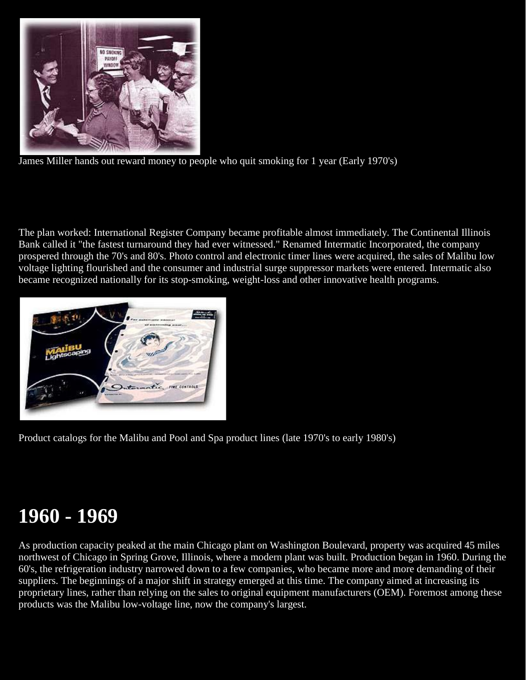

James Miller hands out reward money to people who quit smoking for 1 year (Early 1970's)

The plan worked: International Register Company became profitable almost immediately. The Continental Illinois Bank called it "the fastest turnaround they had ever witnessed." Renamed Intermatic Incorporated, the company prospered through the 70's and 80's. Photo control and electronic timer lines were acquired, the sales of Malibu low voltage lighting flourished and the consumer and industrial surge suppressor markets were entered. Intermatic also became recognized nationally for its stop-smoking, weight-loss and other innovative health programs.



Product catalogs for the Malibu and Pool and Spa product lines (late 1970's to early 1980's)

### **1960 - 1969**

As production capacity peaked at the main Chicago plant on Washington Boulevard, property was acquired 45 miles northwest of Chicago in Spring Grove, Illinois, where a modern plant was built. Production began in 1960. During the 60's, the refrigeration industry narrowed down to a few companies, who became more and more demanding of their suppliers. The beginnings of a major shift in strategy emerged at this time. The company aimed at increasing its proprietary lines, rather than relying on the sales to original equipment manufacturers (OEM). Foremost among these products was the Malibu low-voltage line, now the company's largest.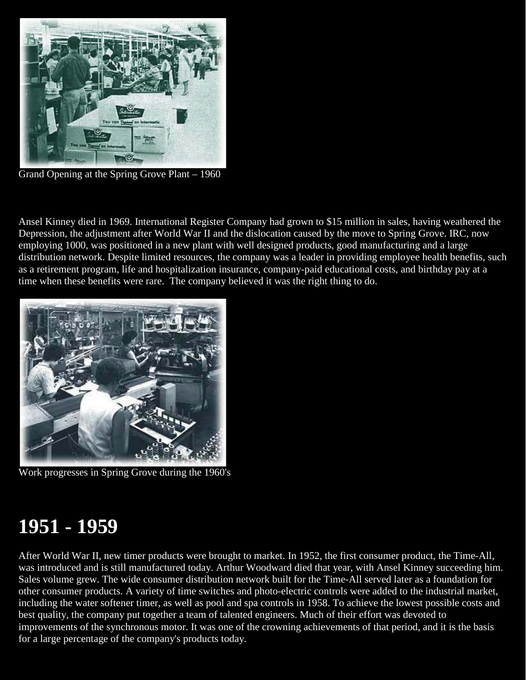

Grand Opening at the Spring Grove Plant – 1960

Ansel Kinney died in 1969. International Register Company had grown to \$15 million in sales, having weathered the Depression, the adjustment after World War II and the dislocation caused by the move to Spring Grove. IRC, now employing 1000, was positioned in a new plant with well designed products, good manufacturing and a large distribution network. Despite limited resources, the company was a leader in providing employee health benefits, such as a retirement program, life and hospitalization insurance, company-paid educational costs, and birthday pay at a time when these benefits were rare. The company believed it was the right thing to do.



Work progresses in Spring Grove during the 1960's

### **1951 - 1959**

After World War II, new timer products were brought to market. In 1952, the first consumer product, the Time-All, was introduced and is still manufactured today. Arthur Woodward died that year, with Ansel Kinney succeeding him. Sales volume grew. The wide consumer distribution network built for the Time-All served later as a foundation for other consumer products. A variety of time switches and photo-electric controls were added to the industrial market, including the water softener timer, as well as pool and spa controls in 1958. To achieve the lowest possible costs and best quality, the company put together a team of talented engineers. Much of their effort was devoted to improvements of the synchronous motor. It was one of the crowning achievements of that period, and it is the basis for a large percentage of the company's products today.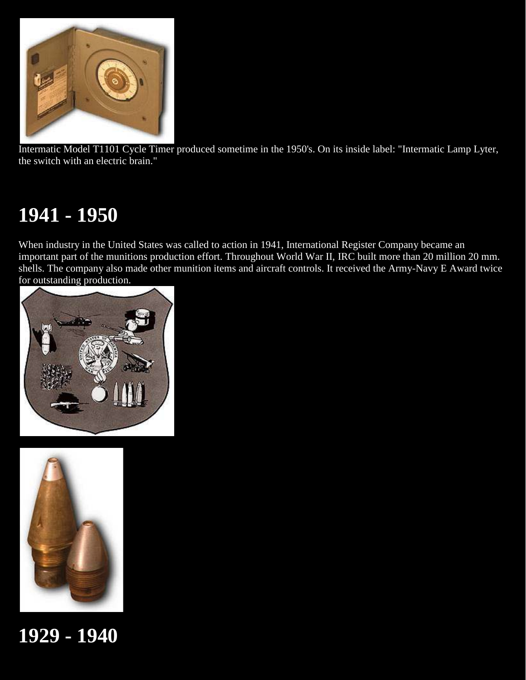

Intermatic Model T1101 Cycle Timer produced sometime in the 1950's. On its inside label: "Intermatic Lamp Lyter, the switch with an electric brain."

# **1941 - 1950**

When industry in the United States was called to action in 1941, International Register Company became an important part of the munitions production effort. Throughout World War II, IRC built more than 20 million 20 mm. shells. The company also made other munition items and aircraft controls. It received the Army-Navy E Award twice for outstanding production.





**1929 - 1940**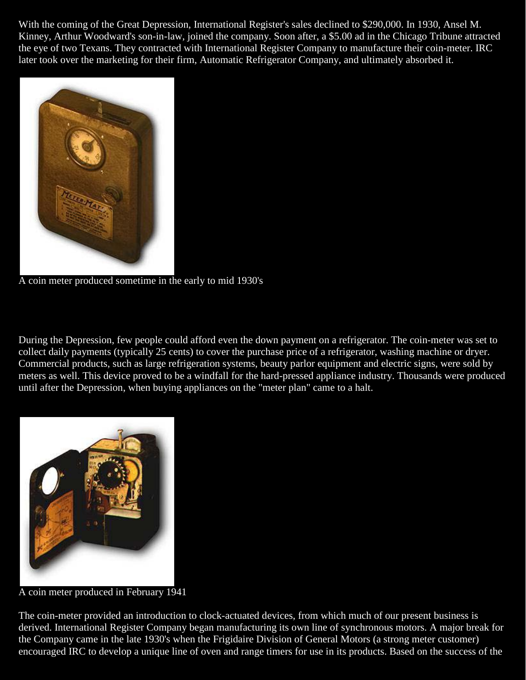With the coming of the Great Depression, International Register's sales declined to \$290,000. In 1930, Ansel M. Kinney, Arthur Woodward's son-in-law, joined the company. Soon after, a \$5.00 ad in the Chicago Tribune attracted the eye of two Texans. They contracted with International Register Company to manufacture their coin-meter. IRC later took over the marketing for their firm, Automatic Refrigerator Company, and ultimately absorbed it.



A coin meter produced sometime in the early to mid 1930's

During the Depression, few people could afford even the down payment on a refrigerator. The coin-meter was set to collect daily payments (typically 25 cents) to cover the purchase price of a refrigerator, washing machine or dryer. Commercial products, such as large refrigeration systems, beauty parlor equipment and electric signs, were sold by meters as well. This device proved to be a windfall for the hard-pressed appliance industry. Thousands were produced until after the Depression, when buying appliances on the "meter plan" came to a halt.



A coin meter produced in February 1941

The coin-meter provided an introduction to clock-actuated devices, from which much of our present business is derived. International Register Company began manufacturing its own line of synchronous motors. A major break for the Company came in the late 1930's when the Frigidaire Division of General Motors (a strong meter customer) encouraged IRC to develop a unique line of oven and range timers for use in its products. Based on the success of the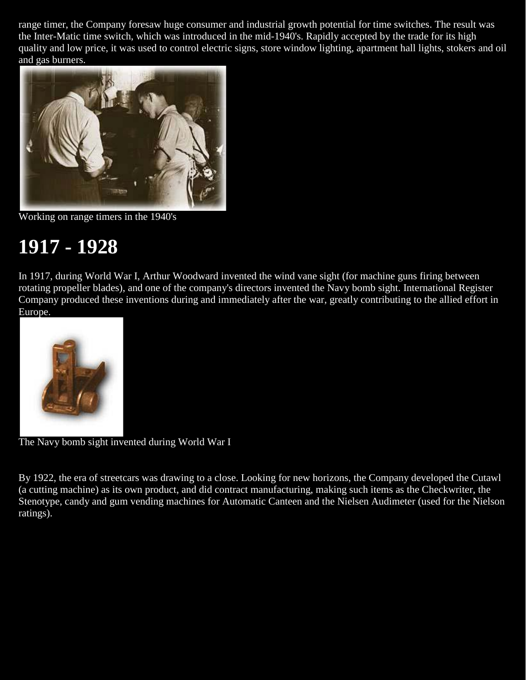range timer, the Company foresaw huge consumer and industrial growth potential for time switches. The result was the Inter-Matic time switch, which was introduced in the mid-1940's. Rapidly accepted by the trade for its high quality and low price, it was used to control electric signs, store window lighting, apartment hall lights, stokers and oil and gas burners.



Working on range timers in the 1940's

### **1917 - 1928**

In 1917, during World War I, Arthur Woodward invented the wind vane sight (for machine guns firing between rotating propeller blades), and one of the company's directors invented the Navy bomb sight. International Register Company produced these inventions during and immediately after the war, greatly contributing to the allied effort in Europe.



The Navy bomb sight invented during World War I

By 1922, the era of streetcars was drawing to a close. Looking for new horizons, the Company developed the Cutawl (a cutting machine) as its own product, and did contract manufacturing, making such items as the Checkwriter, the Stenotype, candy and gum vending machines for Automatic Canteen and the Nielsen Audimeter (used for the Nielson ratings).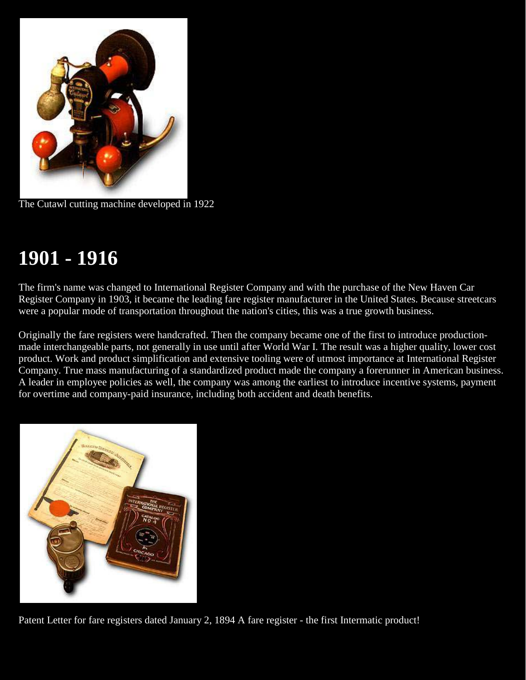

The Cutawl cutting machine developed in 1922

# **1901 - 1916**

The firm's name was changed to International Register Company and with the purchase of the New Haven Car Register Company in 1903, it became the leading fare register manufacturer in the United States. Because streetcars were a popular mode of transportation throughout the nation's cities, this was a true growth business.

Originally the fare registers were handcrafted. Then the company became one of the first to introduce productionmade interchangeable parts, not generally in use until after World War I. The result was a higher quality, lower cost product. Work and product simplification and extensive tooling were of utmost importance at International Register Company. True mass manufacturing of a standardized product made the company a forerunner in American business. A leader in employee policies as well, the company was among the earliest to introduce incentive systems, payment for overtime and company-paid insurance, including both accident and death benefits.



Patent Letter for fare registers dated January 2, 1894 A fare register - the first Intermatic product!